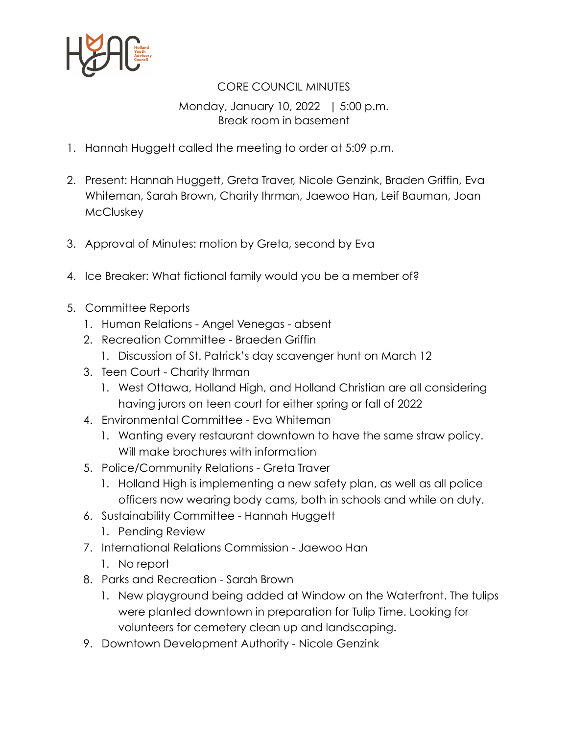

## CORE COUNCIL MINUTES

## Monday, January 10, 2022 | 5:00 p.m. Break room in basement

- 1. Hannah Huggett called the meeting to order at 5:09 p.m.
- 2. Present: Hannah Huggett, Greta Traver, Nicole Genzink, Braden Griffin, Eva Whiteman, Sarah Brown, Charity Ihrman, Jaewoo Han, Leif Bauman, Joan **McCluskey**
- 3. Approval of Minutes: motion by Greta, second by Eva
- 4. Ice Breaker: What fictional family would you be a member of?
- 5. Committee Reports
	- 1. Human Relations Angel Venegas absent
	- 2. Recreation Committee Braeden Griffin
		- 1. Discussion of St. Patrick's day scavenger hunt on March 12
	- 3. Teen Court Charity Ihrman
		- 1. West Ottawa, Holland High, and Holland Christian are all considering having jurors on teen court for either spring or fall of 2022
	- 4. Environmental Committee Eva Whiteman
		- 1. Wanting every restaurant downtown to have the same straw policy. Will make brochures with information
	- 5. Police/Community Relations Greta Traver
		- 1. Holland High is implementing a new safety plan, as well as all police officers now wearing body cams, both in schools and while on duty.
	- 6. Sustainability Committee Hannah Huggett
		- 1. Pending Review
	- 7. International Relations Commission Jaewoo Han
		- 1. No report
	- 8. Parks and Recreation Sarah Brown
		- 1. New playground being added at Window on the Waterfront. The tulips were planted downtown in preparation for Tulip Time. Looking for volunteers for cemetery clean up and landscaping.
	- 9. Downtown Development Authority Nicole Genzink